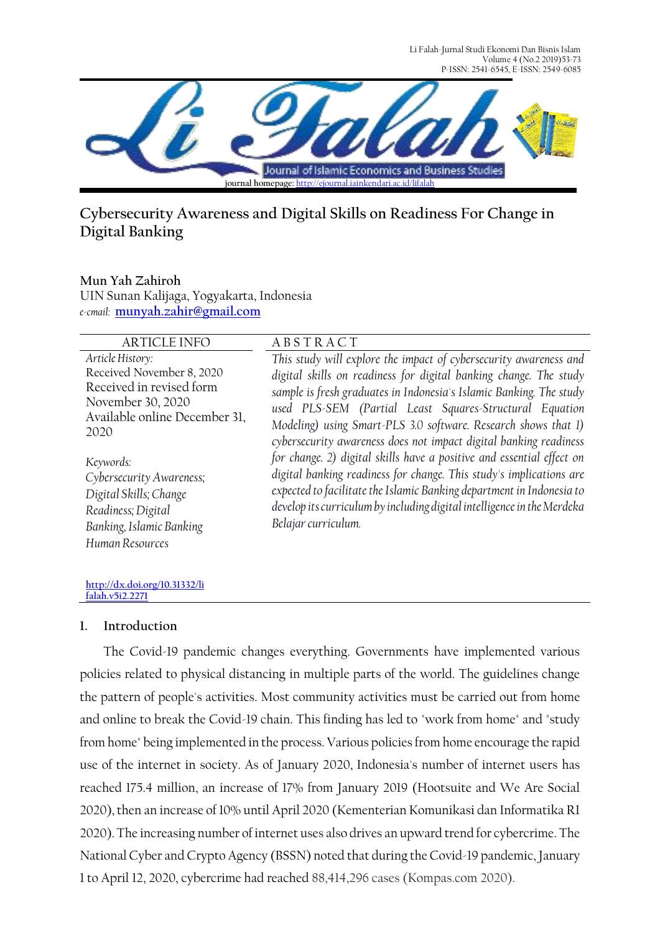Li Falah-Jurnal Studi Ekonomi Dan Bisnis Islam Volume 4 (No.2 2019)53-73 P-ISSN: 2541-6545, E-ISSN: 2549-6085



# **Cybersecurity Awareness and Digital Skills on Readiness For Change in Digital Banking**

**Mun Yah Zahiroh**

UIN Sunan Kalijaga, Yogyakarta, Indonesia *e-cmail:* **[munyah.zahir@gmail.com](mailto:munyah.zahir@gmail.com)**

| <b>ARTICLE INFO</b>                                                                                                                     | <b>ABSTRACT</b>                                                                                                                                                                                                                                                                                                                                                                                                 |
|-----------------------------------------------------------------------------------------------------------------------------------------|-----------------------------------------------------------------------------------------------------------------------------------------------------------------------------------------------------------------------------------------------------------------------------------------------------------------------------------------------------------------------------------------------------------------|
| Article History:<br>Received November 8, 2020<br>Received in revised form<br>November 30, 2020<br>Available online December 31,<br>2020 | This study will explore the impact of cybersecurity awareness and<br>digital skills on readiness for digital banking change. The study<br>sample is fresh graduates in Indonesia's Islamic Banking. The study<br>used PLS-SEM (Partial Least Squares-Structural Equation<br>Modeling) using Smart-PLS 3.0 software. Research shows that 1)<br>cybersecurity awareness does not impact digital banking readiness |
| Keywords:<br>Cybersecurity Awareness;<br>Digital Skills; Change<br>Readiness; Digital<br>Banking, Islamic Banking<br>Human Resources    | for change. 2) digital skills have a positive and essential effect on<br>digital banking readiness for change. This study's implications are<br>expected to facilitate the Islamic Banking department in Indonesia to<br>develop its curriculum by including digital intelligence in the Merdeka<br>Belajar curriculum.                                                                                         |

# **[falah.v5i2.2271](http://dx.doi.org/10.31332/lifalah.v5i2.2271)**

**[http://dx.doi.org/10.31332/li](http://dx.doi.org/10.31332/lifalah.v5i2.2271)**

#### **1. Introduction**

The Covid-19 pandemic changes everything. Governments have implemented various policies related to physical distancing in multiple parts of the world. The guidelines change the pattern of people's activities. Most community activities must be carried out from home and online to break the Covid-19 chain. This finding has led to "work from home" and "study from home" being implemented in the process. Various policies from home encourage the rapid use of the internet in society. As of January 2020, Indonesia's number of internet users has reached 175.4 million, an increase of 17% from January 2019 (Hootsuite and We Are Social 2020), then an increase of 10% until April 2020 (Kementerian Komunikasi dan Informatika RI 2020). The increasing number of internet uses also drives an upward trend for cybercrime. The National Cyber and Crypto Agency (BSSN) noted that during the Covid-19 pandemic, January 1 to April 12, 2020, cybercrime had reached 88,414,296 cases (Kompas.com 2020).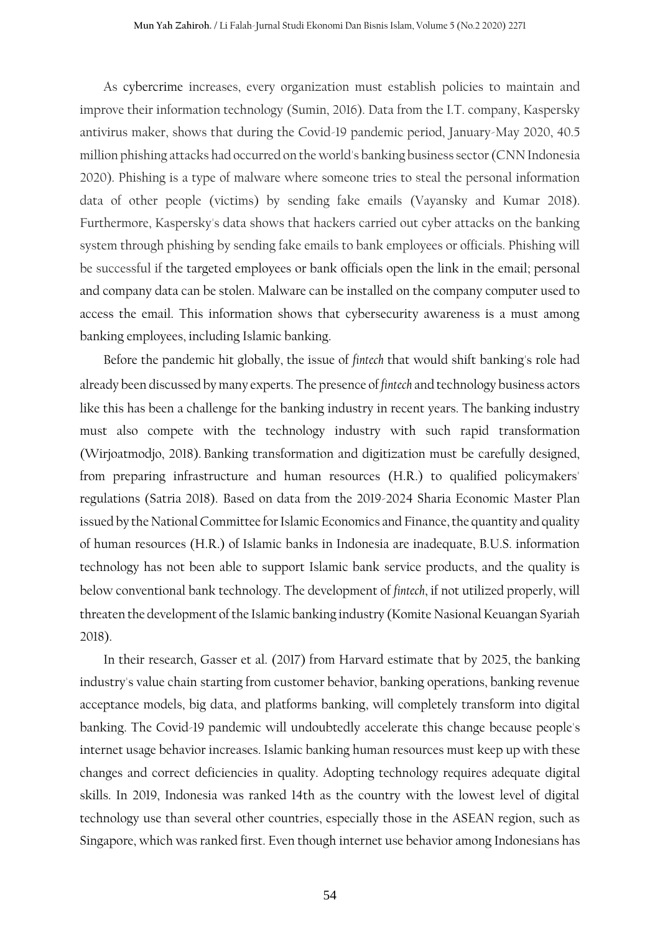As cybercrime increases, every organization must establish policies to maintain and improve their information technology (Sumin, 2016). Data from the I.T. company, Kaspersky antivirus maker, shows that during the Covid-19 pandemic period, January-May 2020, 40.5 million phishing attacks had occurred on the world's banking business sector (CNN Indonesia 2020). Phishing is a type of malware where someone tries to steal the personal information data of other people (victims) by sending fake emails (Vayansky and Kumar 2018). Furthermore, Kaspersky's data shows that hackers carried out cyber attacks on the banking system through phishing by sending fake emails to bank employees or officials. Phishing will be successful if the targeted employees or bank officials open the link in the email; personal and company data can be stolen. Malware can be installed on the company computer used to access the email. This information shows that cybersecurity awareness is a must among banking employees, including Islamic banking.

Before the pandemic hit globally, the issue of *fintech* that would shift banking's role had already been discussed by many experts. The presence of *fintech* and technology business actors like this has been a challenge for the banking industry in recent years. The banking industry must also compete with the technology industry with such rapid transformation (Wirjoatmodjo, 2018). Banking transformation and digitization must be carefully designed, from preparing infrastructure and human resources (H.R.) to qualified policymakers' regulations (Satria 2018). Based on data from the 2019-2024 Sharia Economic Master Plan issued by the National Committee for Islamic Economics and Finance, the quantity and quality of human resources (H.R.) of Islamic banks in Indonesia are inadequate, B.U.S. information technology has not been able to support Islamic bank service products, and the quality is below conventional bank technology. The development of *fintech*, if not utilized properly, will threaten the development of the Islamic banking industry (Komite Nasional Keuangan Syariah 2018).

In their research, Gasser et al. (2017) from Harvard estimate that by 2025, the banking industry's value chain starting from customer behavior, banking operations, banking revenue acceptance models, big data, and platforms banking, will completely transform into digital banking. The Covid-19 pandemic will undoubtedly accelerate this change because people's internet usage behavior increases. Islamic banking human resources must keep up with these changes and correct deficiencies in quality. Adopting technology requires adequate digital skills. In 2019, Indonesia was ranked 14th as the country with the lowest level of digital technology use than several other countries, especially those in the ASEAN region, such as Singapore, which was ranked first. Even though internet use behavior among Indonesians has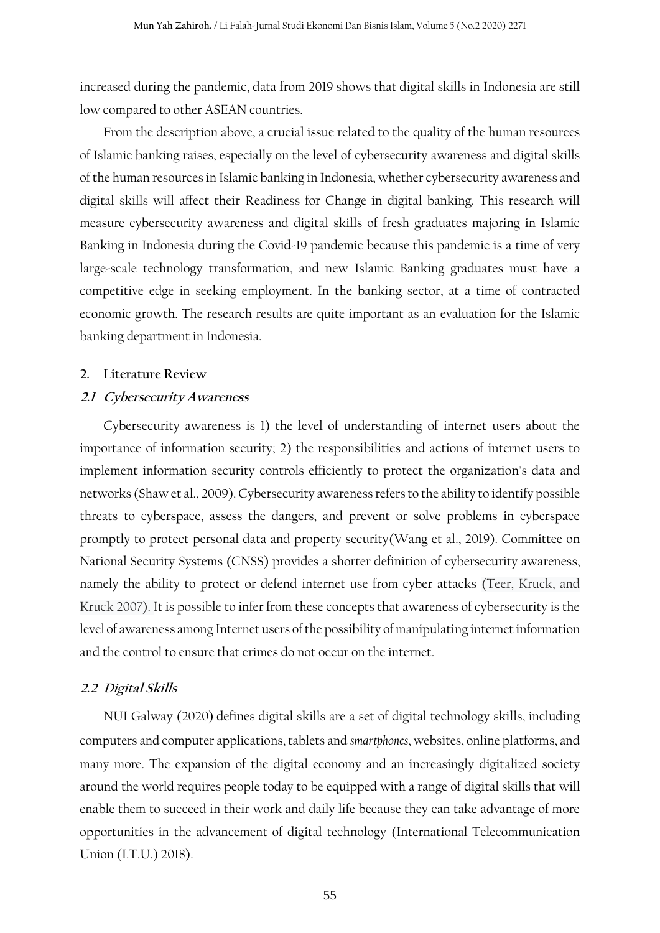increased during the pandemic, data from 2019 shows that digital skills in Indonesia are still low compared to other ASEAN countries.

From the description above, a crucial issue related to the quality of the human resources of Islamic banking raises, especially on the level of cybersecurity awareness and digital skills of the human resources in Islamic banking in Indonesia, whether cybersecurity awareness and digital skills will affect their Readiness for Change in digital banking. This research will measure cybersecurity awareness and digital skills of fresh graduates majoring in Islamic Banking in Indonesia during the Covid-19 pandemic because this pandemic is a time of very large-scale technology transformation, and new Islamic Banking graduates must have a competitive edge in seeking employment. In the banking sector, at a time of contracted economic growth. The research results are quite important as an evaluation for the Islamic banking department in Indonesia.

#### **2. Literature Review**

#### **2.1 Cybersecurity Awareness**

Cybersecurity awareness is 1) the level of understanding of internet users about the importance of information security; 2) the responsibilities and actions of internet users to implement information security controls efficiently to protect the organization's data and networks (Shaw et al., 2009). Cybersecurity awareness refers to the ability to identify possible threats to cyberspace, assess the dangers, and prevent or solve problems in cyberspace promptly to protect personal data and property security(Wang et al., 2019). Committee on National Security Systems (CNSS) provides a shorter definition of cybersecurity awareness, namely the ability to protect or defend internet use from cyber attacks (Teer, Kruck, and Kruck 2007). It is possible to infer from these concepts that awareness of cybersecurity is the level of awareness among Internet users of the possibility of manipulating internet information and the control to ensure that crimes do not occur on the internet.

#### **2.2 Digital Skills**

NUI Galway (2020) defines digital skills are a set of digital technology skills, including computers and computer applications, tablets and *smartphones*, websites, online platforms, and many more. The expansion of the digital economy and an increasingly digitalized society around the world requires people today to be equipped with a range of digital skills that will enable them to succeed in their work and daily life because they can take advantage of more opportunities in the advancement of digital technology (International Telecommunication Union (I.T.U.) 2018).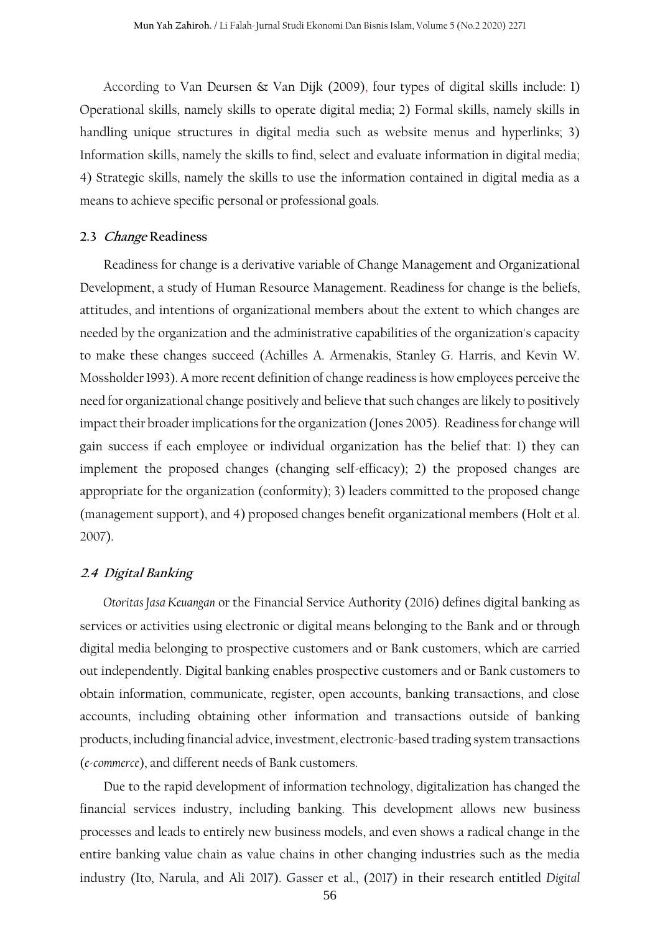According to Van Deursen & Van Dijk (2009), four types of digital skills include: 1) Operational skills, namely skills to operate digital media; 2) Formal skills, namely skills in handling unique structures in digital media such as website menus and hyperlinks; 3) Information skills, namely the skills to find, select and evaluate information in digital media; 4) Strategic skills, namely the skills to use the information contained in digital media as a means to achieve specific personal or professional goals.

#### **2.3 Change Readiness**

Readiness for change is a derivative variable of Change Management and Organizational Development, a study of Human Resource Management. Readiness for change is the beliefs, attitudes, and intentions of organizational members about the extent to which changes are needed by the organization and the administrative capabilities of the organization's capacity to make these changes succeed (Achilles A. Armenakis, Stanley G. Harris, and Kevin W. Mossholder 1993). A more recent definition of change readiness is how employees perceive the need for organizational change positively and believe that such changes are likely to positively impact their broader implications for the organization (Jones 2005). Readiness for change will gain success if each employee or individual organization has the belief that: 1) they can implement the proposed changes (changing self-efficacy); 2) the proposed changes are appropriate for the organization (conformity); 3) leaders committed to the proposed change (management support), and 4) proposed changes benefit organizational members (Holt et al. 2007).

#### **2.4 Digital Banking**

*Otoritas Jasa Keuangan* or the Financial Service Authority (2016) defines digital banking as services or activities using electronic or digital means belonging to the Bank and or through digital media belonging to prospective customers and or Bank customers, which are carried out independently. Digital banking enables prospective customers and or Bank customers to obtain information, communicate, register, open accounts, banking transactions, and close accounts, including obtaining other information and transactions outside of banking products, including financial advice, investment, electronic-based trading system transactions (*e-commerce*), and different needs of Bank customers.

Due to the rapid development of information technology, digitalization has changed the financial services industry, including banking. This development allows new business processes and leads to entirely new business models, and even shows a radical change in the entire banking value chain as value chains in other changing industries such as the media industry (Ito, Narula, and Ali 2017). Gasser et al., (2017) in their research entitled *Digital*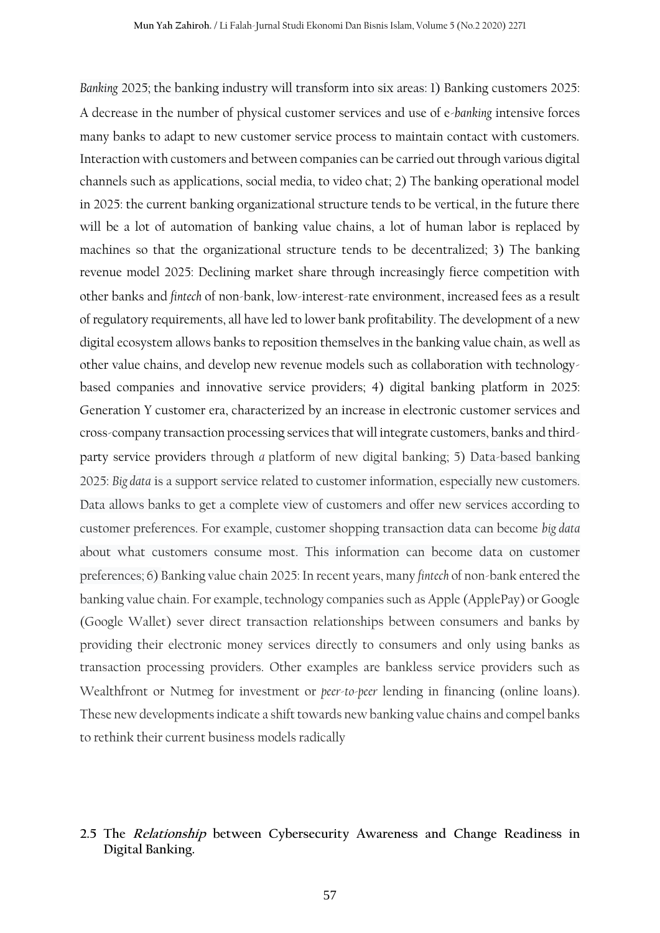*Banking* 2025; the banking industry will transform into six areas: 1) Banking customers 2025: A decrease in the number of physical customer services and use of e-*banking* intensive forces many banks to adapt to new customer service process to maintain contact with customers. Interaction with customers and between companies can be carried out through various digital channels such as applications, social media, to video chat; 2) The banking operational model in 2025: the current banking organizational structure tends to be vertical, in the future there will be a lot of automation of banking value chains, a lot of human labor is replaced by machines so that the organizational structure tends to be decentralized; 3) The banking revenue model 2025: Declining market share through increasingly fierce competition with other banks and *fintech* of non-bank, low-interest-rate environment, increased fees as a result of regulatory requirements, all have led to lower bank profitability. The development of a new digital ecosystem allows banks to reposition themselves in the banking value chain, as well as other value chains, and develop new revenue models such as collaboration with technologybased companies and innovative service providers; 4) digital banking platform in 2025: Generation Y customer era, characterized by an increase in electronic customer services and cross-company transaction processing services that will integrate customers, banks and thirdparty service providers through *a* platform of new digital banking; 5) Data-based banking 2025: *Big data* is a support service related to customer information, especially new customers. Data allows banks to get a complete view of customers and offer new services according to customer preferences. For example, customer shopping transaction data can become *big data* about what customers consume most. This information can become data on customer preferences; 6) Banking value chain 2025: In recent years, many *fintech* of non-bank entered the banking value chain. For example, technology companies such as Apple (ApplePay) or Google (Google Wallet) sever direct transaction relationships between consumers and banks by providing their electronic money services directly to consumers and only using banks as transaction processing providers. Other examples are bankless service providers such as Wealthfront or Nutmeg for investment or *peer-to-peer* lending in financing (online loans). These new developments indicate a shift towards new banking value chains and compel banks to rethink their current business models radically

## **2.5 The Relationship between Cybersecurity Awareness and Change Readiness in Digital Banking.**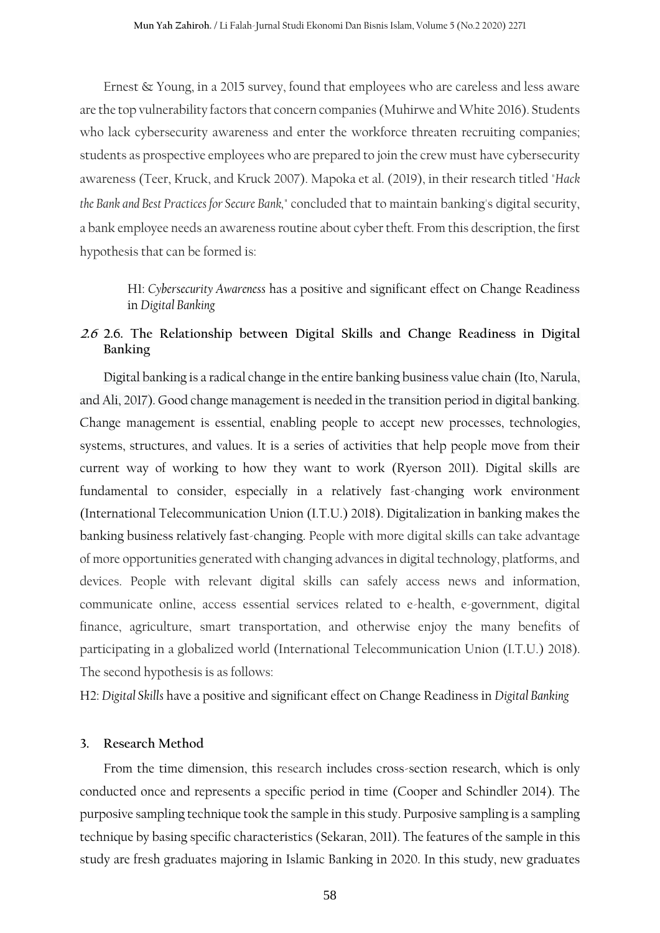Ernest & Young, in a 2015 survey, found that employees who are careless and less aware are the top vulnerability factors that concern companies (Muhirwe and White 2016). Students who lack cybersecurity awareness and enter the workforce threaten recruiting companies; students as prospective employees who are prepared to join the crew must have cybersecurity awareness (Teer, Kruck, and Kruck 2007). Mapoka et al. (2019), in their research titled "*Hack the Bank and Best Practices for Secure Bank,"* concluded that to maintain banking's digital security, a bank employee needs an awareness routine about cyber theft*.* From this description, the first hypothesis that can be formed is:

H1: *Cybersecurity Awareness* has a positive and significant effect on Change Readiness in *Digital Banking*

# **2.6 2.6. The Relationship between Digital Skills and Change Readiness in Digital Banking**

Digital banking is a radical change in the entire banking business value chain (Ito, Narula, and Ali, 2017). Good change management is needed in the transition period in digital banking. Change management is essential, enabling people to accept new processes, technologies, systems, structures, and values. It is a series of activities that help people move from their current way of working to how they want to work (Ryerson 2011). Digital skills are fundamental to consider, especially in a relatively fast-changing work environment (International Telecommunication Union (I.T.U.) 2018). Digitalization in banking makes the banking business relatively fast-changing. People with more digital skills can take advantage of more opportunities generated with changing advances in digital technology, platforms, and devices. People with relevant digital skills can safely access news and information, communicate online, access essential services related to e-health, e-government, digital finance, agriculture, smart transportation, and otherwise enjoy the many benefits of participating in a globalized world (International Telecommunication Union (I.T.U.) 2018). The second hypothesis is as follows:

H2: *Digital Skills* have a positive and significant effect on Change Readiness in *Digital Banking*

#### **3. Research Method**

From the time dimension, this research includes cross-section research, which is only conducted once and represents a specific period in time (Cooper and Schindler 2014). The purposive sampling technique took the sample in this study. Purposive sampling is a sampling technique by basing specific characteristics (Sekaran, 2011). The features of the sample in this study are fresh graduates majoring in Islamic Banking in 2020. In this study, new graduates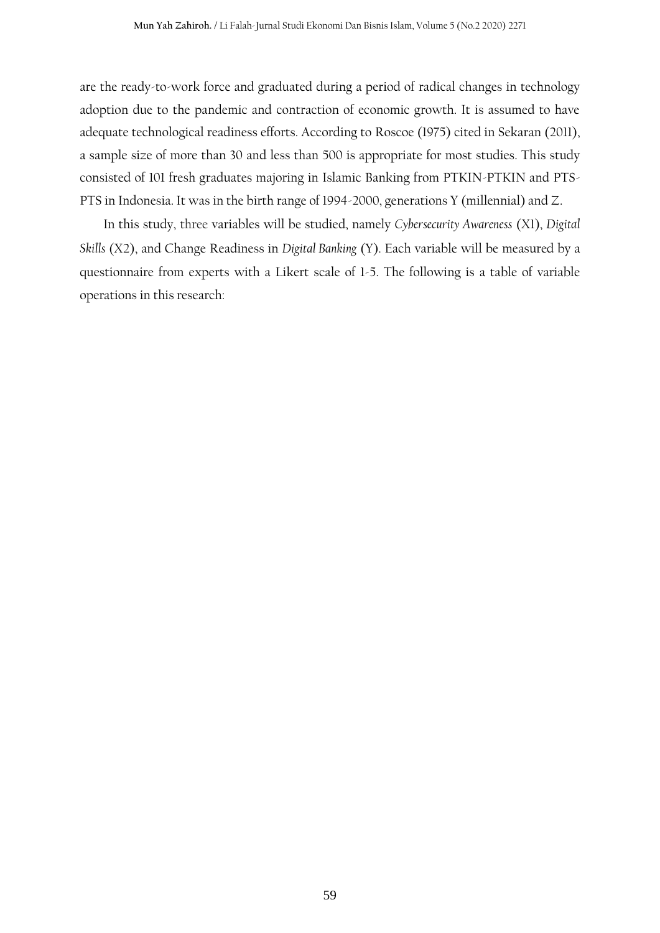are the ready-to-work force and graduated during a period of radical changes in technology adoption due to the pandemic and contraction of economic growth. It is assumed to have adequate technological readiness efforts. According to Roscoe (1975) cited in Sekaran (2011), a sample size of more than 30 and less than 500 is appropriate for most studies. This study consisted of 101 fresh graduates majoring in Islamic Banking from PTKIN-PTKIN and PTS-PTS in Indonesia. It was in the birth range of 1994-2000, generations Y (millennial) and Z.

In this study, three variables will be studied, namely *Cybersecurity Awareness* (X1), *Digital Skills* (X2), and Change Readiness in *Digital Banking* (Y). Each variable will be measured by a questionnaire from experts with a Likert scale of 1-5. The following is a table of variable operations in this research: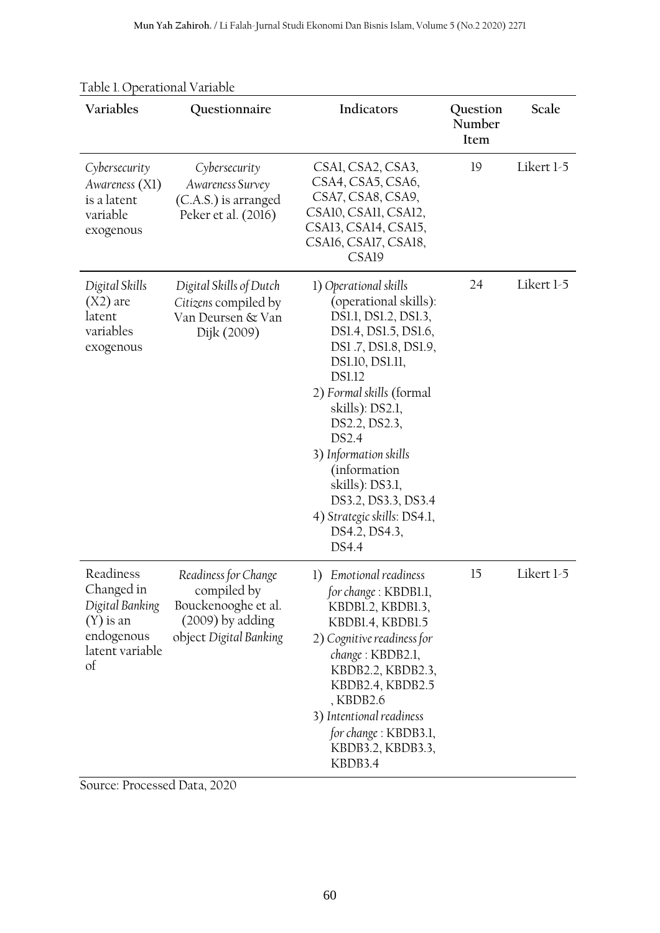| Variables                                                                                        | Questionnaire                                                                                            | Indicators                                                                                                                                                                                                                                                                                                                                                                      | Question<br>Number<br>Item | Scale      |
|--------------------------------------------------------------------------------------------------|----------------------------------------------------------------------------------------------------------|---------------------------------------------------------------------------------------------------------------------------------------------------------------------------------------------------------------------------------------------------------------------------------------------------------------------------------------------------------------------------------|----------------------------|------------|
| Cybersecurity<br>Awareness (X1)<br>is a latent<br>variable<br>exogenous                          | Cybersecurity<br>Awareness Survey<br>(C.A.S.) is arranged<br>Peker et al. (2016)                         | CSAI, CSA2, CSA3,<br>CSA4, CSA5, CSA6,<br>CSA7, CSA8, CSA9,<br>CSA10, CSA11, CSA12,<br>CSA13, CSA14, CSA15,<br>CSA16, CSA17, CSA18,<br>CSA19                                                                                                                                                                                                                                    | 19                         | Likert 1-5 |
| Digital Skills<br>$(X2)$ are<br>latent<br>variables<br>exogenous                                 | Digital Skills of Dutch<br>Citizens compiled by<br>Van Deursen & Van<br>Dijk (2009)                      | 1) Operational skills<br>(operational skills):<br>DS1.1, DS1.2, DS1.3,<br>DS1.4, DS1.5, DS1.6,<br>DS1.7, DS1.8, DS1.9,<br>DS1.10, DS1.11,<br><b>DS1.12</b><br>2) Formal skills (formal<br>skills): DS2.1,<br>DS2.2, DS2.3,<br>DS2.4<br>3) Information skills<br>(information<br>skills): DS3.1,<br>DS3.2, DS3.3, DS3.4<br>4) Strategic skills: DS4.1,<br>DS4.2, DS4.3,<br>DS4.4 | 24                         | Likert 1-5 |
| Readiness<br>Changed in<br>Digital Banking<br>$(Y)$ is an<br>endogenous<br>latent variable<br>of | Readiness for Change<br>compiled by<br>Bouckenooghe et al.<br>(2009) by adding<br>object Digital Banking | 1) Emotional readiness<br>for change: KBDB1.1,<br>KBDB1.2, KBDB1.3,<br>KBDB1.4, KBDB1.5<br>2) Cognitive readiness for<br>change: KBDB2.1,<br>KBDB2.2, KBDB2.3,<br>KBDB2.4, KBDB2.5<br>, KBDB2.6<br>3) Intentional readiness<br>for change: KBDB3.1,<br>KBDB3.2, KBDB3.3,<br>KBDB3.4                                                                                             | 15                         | Likert 1-5 |

Source: Processed Data, 2020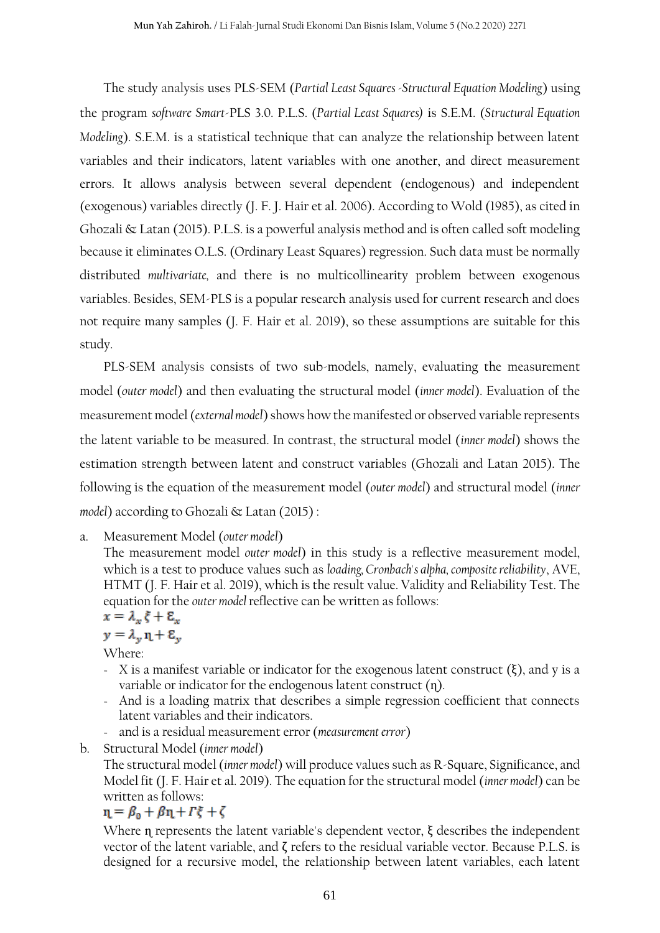The study analysis uses PLS-SEM (*Partial Least Squares -Structural Equation Modeling*) using the program *software Smart*-PLS 3.0. P.L.S. (*Partial Least Squares)* is S.E.M. (*Structural Equation Modeling*). S.E.M. is a statistical technique that can analyze the relationship between latent variables and their indicators, latent variables with one another, and direct measurement errors. It allows analysis between several dependent (endogenous) and independent (exogenous) variables directly (J. F. J. Hair et al. 2006). According to Wold (1985), as cited in Ghozali & Latan (2015). P.L.S. is a powerful analysis method and is often called soft modeling because it eliminates O.L.S. (Ordinary Least Squares) regression. Such data must be normally distributed *multivariate,* and there is no multicollinearity problem between exogenous variables. Besides, SEM-PLS is a popular research analysis used for current research and does not require many samples (J. F. Hair et al. 2019), so these assumptions are suitable for this study.

PLS-SEM analysis consists of two sub-models, namely, evaluating the measurement model (*outer model*) and then evaluating the structural model (*inner model*). Evaluation of the measurement model (*external model*) shows how the manifested or observed variable represents the latent variable to be measured. In contrast, the structural model (*inner model*) shows the estimation strength between latent and construct variables (Ghozali and Latan 2015). The following is the equation of the measurement model (*outer model*) and structural model (*inner model*) according to Ghozali & Latan (2015) :

a. Measurement Model (*outer model*)

The measurement model *outer model*) in this study is a reflective measurement model, which is a test to produce values such as *loading, Cronbach's alpha, composite reliability*, AVE, HTMT (J. F. Hair et al. 2019), which is the result value. Validity and Reliability Test. The equation for the *outer model* reflective can be written as follows:

$$
x = \lambda_x \xi + \varepsilon_x
$$

 $y = \lambda_v \eta + \varepsilon_v$ 

Where:

- $X$  is a manifest variable or indicator for the exogenous latent construct (ξ), and y is a variable or indicator for the endogenous latent construct (n).
- And is a loading matrix that describes a simple regression coefficient that connects latent variables and their indicators.
- and is a residual measurement error (*measurement error*)
- b. Structural Model (*inner model*)

The structural model (*inner model*) will produce values such as R-Square, Significance, and Model fit (J. F. Hair et al. 2019). The equation for the structural model (*inner model*) can be written as follows:

 $n = \beta_0 + \beta n + \Gamma \xi + \zeta$ 

Where η represents the latent variable's dependent vector,  $ξ$  describes the independent vector of the latent variable, and ζ refers to the residual variable vector. Because P.L.S. is designed for a recursive model, the relationship between latent variables, each latent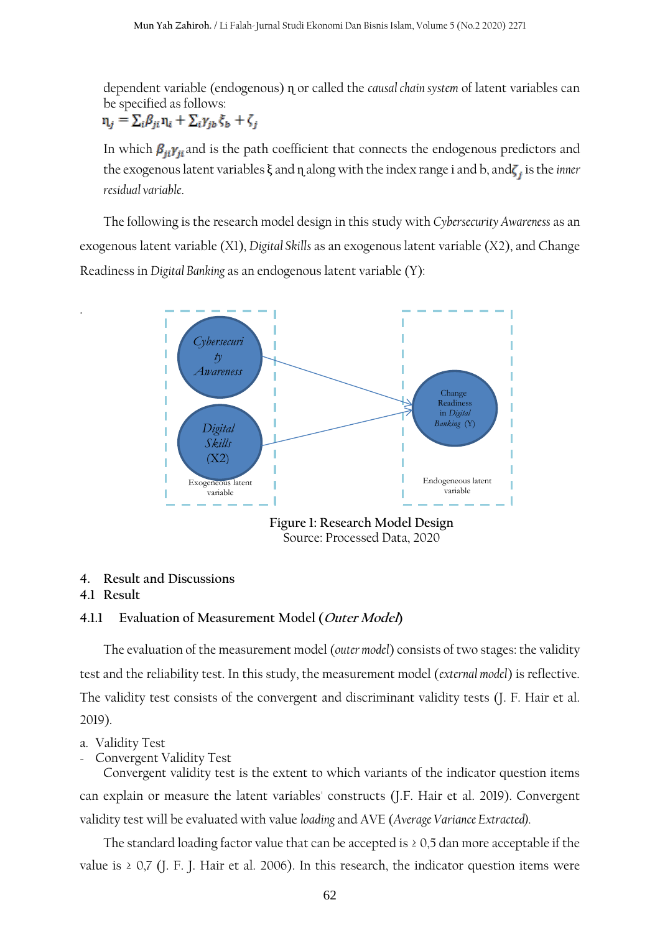dependent variable (endogenous) ɳ or called the *causal chain system* of latent variables can be specified as follows:  $\mathbf{n}_j = \sum_i \beta_{ji} \mathbf{n}_i + \sum_i \gamma_{jb} \xi_b + \zeta_j$ 

In which  $\beta_{ii}\gamma_{ii}$  and is the path coefficient that connects the endogenous predictors and the exogenous latent variables  $\xi$  and  $\eta$  along with the index range i and b, and $\zeta_i$  is the *inner residual variable*.

The following is the research model design in this study with *Cybersecurity Awareness* as an exogenous latent variable (X1), *Digital Skills* as an exogenous latent variable (X2), and Change Readiness in *Digital Banking* as an endogenous latent variable (Y):



**Figure 1: Research Model Design**  Source: Processed Data, 2020

#### **4. Result and Discussions**

#### **4.1 Result**

.

#### **4.1.1 Evaluation of Measurement Model (Outer Model)**

The evaluation of the measurement model (*outer model*) consists of two stages: the validity test and the reliability test. In this study, the measurement model (*external model*) is reflective. The validity test consists of the convergent and discriminant validity tests (J. F. Hair et al. 2019).

#### a. Validity Test

- Convergent Validity Test

Convergent validity test is the extent to which variants of the indicator question items can explain or measure the latent variables' constructs (J.F. Hair et al. 2019). Convergent validity test will be evaluated with value *loading* and AVE (*Average Variance Extracted).*

The standard loading factor value that can be accepted is  $\geq 0.5$  dan more acceptable if the value is  $\geq$  0,7 (J. F. J. Hair et al. 2006). In this research, the indicator question items were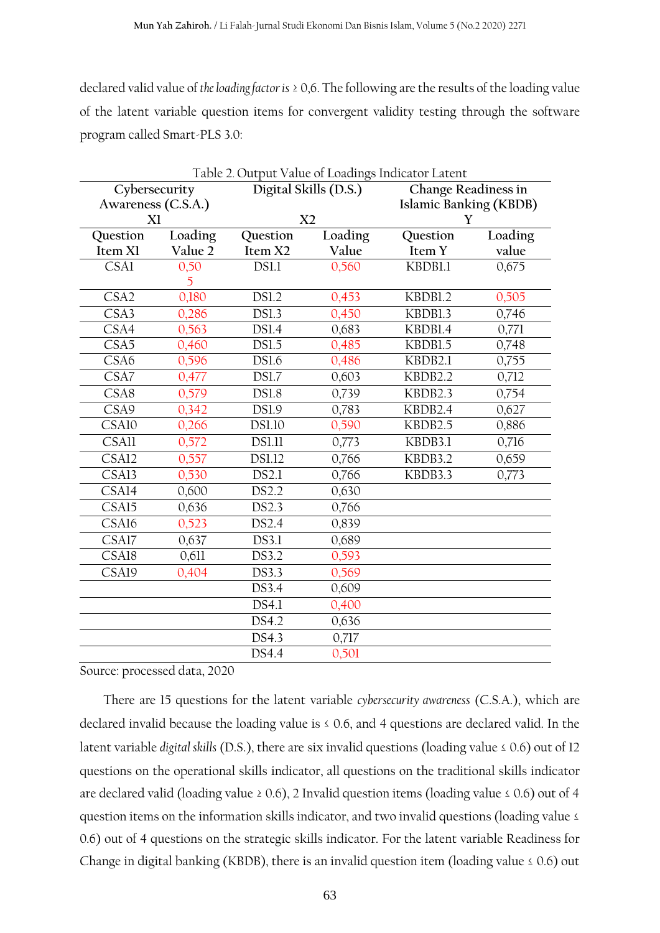declared valid value of *the loading factor is* ≥ 0,6. The following are the results of the loading value of the latent variable question items for convergent validity testing through the software program called Smart-PLS 3.0:

| Table 2. Output Value of Loadings Indicator Latent |         |                                              |                |                        |         |
|----------------------------------------------------|---------|----------------------------------------------|----------------|------------------------|---------|
| Cybersecurity                                      |         | Digital Skills (D.S.)<br>Change Readiness in |                |                        |         |
| Awareness (C.S.A.)                                 |         |                                              |                | Islamic Banking (KBDB) |         |
| X1                                                 |         |                                              | X <sub>2</sub> |                        | Y       |
| Question                                           | Loading | Question                                     | Loading        | Question               | Loading |
| Item X1                                            | Value 2 | Item X2                                      | Value          | Item Y                 | value   |
| <b>CSA1</b>                                        | 0,50    | DS1.1                                        | 0,560          | KBDB1.1                | 0,675   |
|                                                    | 5       |                                              |                |                        |         |
| CSA <sub>2</sub>                                   | 0,180   | <b>DS1.2</b>                                 | 0,453          | KBDB1.2                | 0,505   |
| CSA3                                               | 0,286   | <b>DS1.3</b>                                 | 0,450          | KBDB1.3                | 0,746   |
| CSA4                                               | 0,563   | <b>DS1.4</b>                                 | 0,683          | KBDB1.4                | 0,771   |
| CSA <sub>5</sub>                                   | 0,460   | <b>DS1.5</b>                                 | 0,485          | KBDB1.5                | 0,748   |
| CSA6                                               | 0,596   | <b>DS1.6</b>                                 | 0,486          | KBDB2.1                | 0,755   |
| CSA7                                               | 0,477   | <b>DS1.7</b>                                 | 0,603          | KBDB2.2                | 0,712   |
| CSA8                                               | 0,579   | <b>DS1.8</b>                                 | 0,739          | KBDB2.3                | 0,754   |
| CSA9                                               | 0,342   | <b>DS1.9</b>                                 | 0,783          | KBDB2.4                | 0,627   |
| CSA10                                              | 0,266   | <b>DS1.10</b>                                | 0,590          | KBDB2.5                | 0,886   |
| CSAll                                              | 0,572   | <b>DS1.11</b>                                | 0,773          | KBDB3.1                | 0,716   |
| CSA12                                              | 0,557   | <b>DS1.12</b>                                | 0,766          | KBDB3.2                | 0,659   |
| CSA13                                              | 0,530   | DS2.1                                        | 0,766          | KBDB3.3                | 0,773   |
| $\overline{\text{CS}}$ Al <sub>4</sub>             | 0,600   | DS2.2                                        | 0,630          |                        |         |
| CSA15                                              | 0,636   | DS2.3                                        | 0,766          |                        |         |
| CSA16                                              | 0,523   | DS2.4                                        | 0,839          |                        |         |
| CSA17                                              | 0,637   | DS3.1                                        | 0,689          |                        |         |
| CSA18                                              | 0,611   | DS3.2                                        | 0,593          |                        |         |
| CSA19                                              | 0,404   | DS3.3                                        | 0,569          |                        |         |
|                                                    |         | DS3.4                                        | 0,609          |                        |         |
|                                                    |         | DS4.1                                        | 0,400          |                        |         |
|                                                    |         | DS4.2                                        | 0,636          |                        |         |
|                                                    |         | DS4.3                                        | 0,717          |                        |         |
|                                                    |         | DS4.4                                        | 0,501          |                        |         |

Source: processed data, 2020

There are 15 questions for the latent variable *cybersecurity awareness* (C.S.A.), which are declared invalid because the loading value is  $\leq$  0.6, and 4 questions are declared valid. In the latent variable *digital skills* (D.S.), there are six invalid questions (loading value ≤ 0.6) out of 12 questions on the operational skills indicator, all questions on the traditional skills indicator are declared valid (loading value  $\geq 0.6$ ), 2 Invalid question items (loading value  $\leq 0.6$ ) out of 4 question items on the information skills indicator, and two invalid questions (loading value ≤ 0.6) out of 4 questions on the strategic skills indicator. For the latent variable Readiness for Change in digital banking (KBDB), there is an invalid question item (loading value  $\leq 0.6$ ) out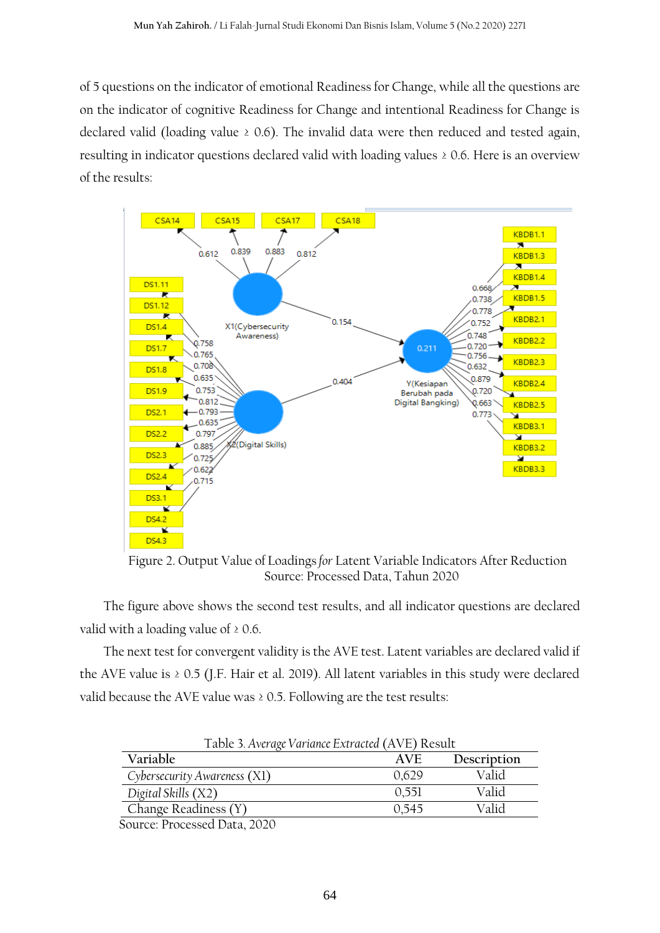of 5 questions on the indicator of emotional Readiness for Change, while all the questions are on the indicator of cognitive Readiness for Change and intentional Readiness for Change is declared valid (loading value  $\geq$  0.6). The invalid data were then reduced and tested again, resulting in indicator questions declared valid with loading values ≥ 0.6. Here is an overview of the results:



Figure 2. Output Value of Loadings*for* Latent Variable Indicators After Reduction Source: Processed Data, Tahun 2020

The figure above shows the second test results, and all indicator questions are declared valid with a loading value of  $\geq 0.6$ .

The next test for convergent validity is the AVE test. Latent variables are declared valid if the AVE value is ≥ 0.5 (J.F. Hair et al. 2019). All latent variables in this study were declared valid because the AVE value was ≥ 0.5. Following are the test results:

| Table 3. Average Variance Extracted (AVE) Result |       |             |  |  |
|--------------------------------------------------|-------|-------------|--|--|
| Variable                                         | AVF   | Description |  |  |
| Cybersecurity Awareness (X1)                     | 0,629 | Valid       |  |  |
| Digital Skills (X2)                              | 0.551 | Valid       |  |  |
| Change Readiness (Y)                             | 0.545 | Valid       |  |  |
| 0.0000                                           |       |             |  |  |

Source: Processed Data, 2020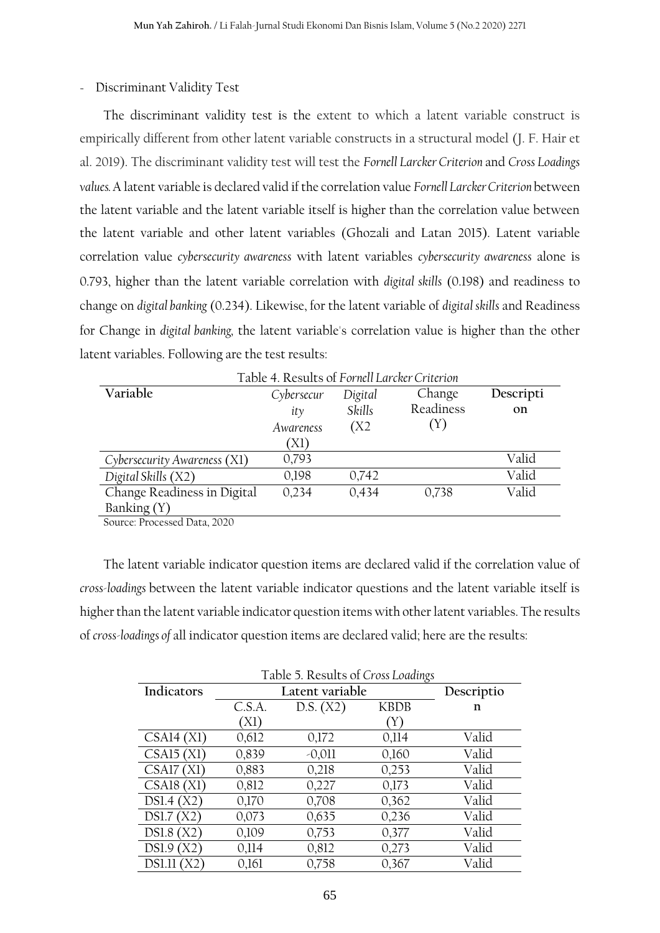## - Discriminant Validity Test

The discriminant validity test is the extent to which a latent variable construct is empirically different from other latent variable constructs in a structural model (J. F. Hair et al. 2019). The discriminant validity test will test the *Fornell Larcker Criterion* and *Cross Loadings values.* A latent variable is declared valid if the correlation value *Fornell Larcker Criterion* between the latent variable and the latent variable itself is higher than the correlation value between the latent variable and other latent variables (Ghozali and Latan 2015). Latent variable correlation value *cybersecurity awareness* with latent variables *cybersecurity awareness* alone is 0.793, higher than the latent variable correlation with *digital skills* (0.198) and readiness to change on *digital banking* (0.234). Likewise, for the latent variable of *digital skills* and Readiness for Change in *digital banking,* the latent variable's correlation value is higher than the other latent variables. Following are the test results:

| Table 4. Results of Fornell Larcker Criterion |            |         |           |           |
|-----------------------------------------------|------------|---------|-----------|-----------|
| Variable                                      | Cybersecur | Digital | Change    | Descripti |
|                                               | ity        | Skills  | Readiness | on        |
|                                               | Awareness  | (X2)    | (Y)       |           |
|                                               | `X1)       |         |           |           |
| Cybersecurity Awareness (X1)                  | 0,793      |         |           | Valid     |
| Digital Skills (X2)                           | 0,198      | 0,742   |           | Valid     |
| Change Readiness in Digital                   | 0,234      | 0,434   | 0,738     | Valid     |
| Banking (Y)                                   |            |         |           |           |
| $\mathbf{1}$                                  |            |         |           |           |

Source: Processed Data, 2020

The latent variable indicator question items are declared valid if the correlation value of *cross-loadings* between the latent variable indicator questions and the latent variable itself is higher than the latent variable indicator question items with other latent variables. The results of *cross-loadings of* all indicator question items are declared valid; here are the results:

| Table 5. Results of Cross Loadings |        |                 |             |            |
|------------------------------------|--------|-----------------|-------------|------------|
| Indicators                         |        | Latent variable |             | Descriptio |
|                                    | C.S.A. | D.S. (X2)       | <b>KBDB</b> | n          |
|                                    | ´X1)   |                 | Y)          |            |
| CSAl4(X1)                          | 0,612  | 0,172           | 0,114       | Valid      |
| CSAI5(X1)                          | 0,839  | $-0,011$        | 0,160       | Valid      |
| CSA17<br>ΪXΙ                       | 0,883  | 0,218           | 0,253       | Valid      |
| CSAl8<br>(X1)                      | 0,812  | 0,227           | 0,173       | Valid      |
| DSI.4(X2)                          | 0,170  | 0,708           | 0,362       | Valid      |
| DSl.7(X2)                          | 0,073  | 0,635           | 0,236       | Valid      |
| <b>DS1.8</b> (<br>'X2)             | 0,109  | 0,753           | 0,377       | Valid      |
| 'X2`<br><b>DS1.9</b>               | 0,114  | 0,812           | 0,273       | Valid      |
| DS1.11<br>ΪX2                      | 0,161  | 0,758           | 0,367       | Valid      |

Table 5. Results of *Cross Loadings*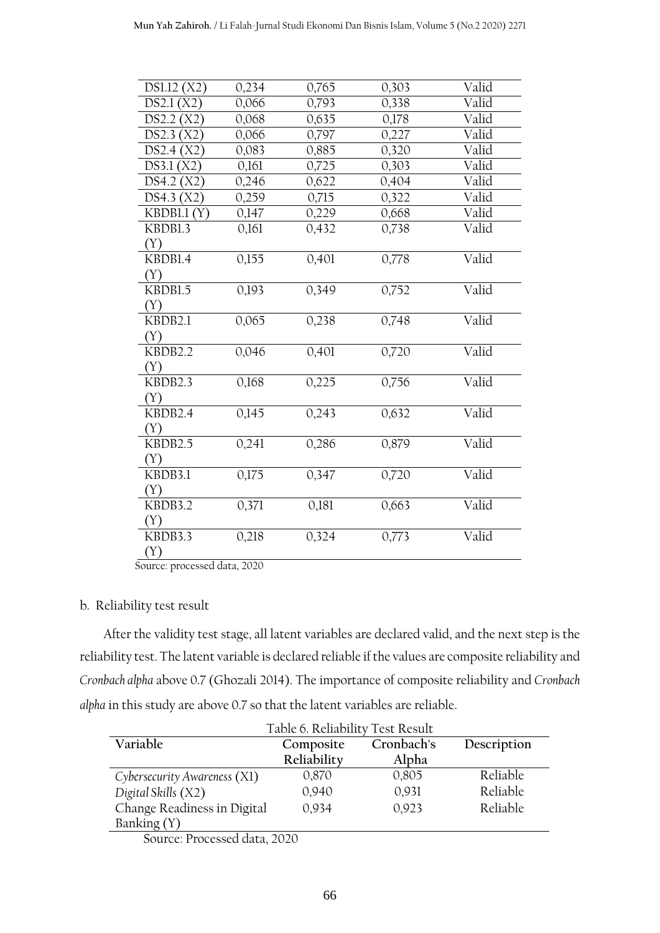| DS1.12(X2)     | 0,234 | 0,765 | 0,303 | Valid |
|----------------|-------|-------|-------|-------|
| DS2.1<br>'X2)  | 0,066 | 0,793 | 0,338 | Valid |
| DS2.2(X2)      | 0,068 | 0,635 | 0,178 | Valid |
| DS2.3<br>X2)   | 0,066 | 0,797 | 0,227 | Valid |
| DS2.4<br>(X2)  | 0,083 | 0,885 | 0,320 | Valid |
| DS3.1(X2)      | 0,161 | 0,725 | 0,303 | Valid |
| DS4.2<br>(X2)  | 0,246 | 0,622 | 0,404 | Valid |
| DS4.3(X2)      | 0,259 | 0,715 | 0,322 | Valid |
| KBDB1.1<br>(Y) | 0,147 | 0,229 | 0,668 | Valid |
| KBDB1.3        | 0,161 | 0,432 | 0,738 | Valid |
| (Y)            |       |       |       |       |
| KBDB1.4        | 0,155 | 0,401 | 0,778 | Valid |
| (Y)            |       |       |       |       |
| KBDB1.5        | 0,193 | 0,349 | 0,752 | Valid |
| (Y)            |       |       |       |       |
| KBDB2.1        | 0,065 | 0,238 | 0,748 | Valid |
| (Y)            |       |       |       |       |
| KBDB2.2        | 0,046 | 0,401 | 0,720 | Valid |
| (Y)            |       |       |       |       |
| KBDB2.3        | 0,168 | 0,225 | 0,756 | Valid |
| (Y)            |       |       |       |       |
| KBDB2.4        | 0,145 | 0,243 | 0,632 | Valid |
| (Y)            |       |       |       |       |
| KBDB2.5        | 0,241 | 0,286 | 0,879 | Valid |
| (Y)            |       |       |       |       |
| KBDB3.1        | 0,175 | 0,347 | 0,720 | Valid |
| (Y)            |       |       |       |       |
| KBDB3.2        | 0,371 | 0,181 | 0,663 | Valid |
| (Y)            |       |       |       |       |
| KBDB3.3        | 0,218 | 0,324 | 0,773 | Valid |
| (Y)            |       |       |       |       |

Source: processed data, 2020

# b. Reliability test result

After the validity test stage, all latent variables are declared valid, and the next step is the reliability test. The latent variable is declared reliable if the values are composite reliability and *Cronbach alpha* above 0.7 (Ghozali 2014). The importance of composite reliability and *Cronbach alpha* in this study are above 0.7 so that the latent variables are reliable.

| Table 6. Reliability Test Result |             |            |             |  |
|----------------------------------|-------------|------------|-------------|--|
| Variable                         | Composite   | Cronbach's | Description |  |
|                                  | Reliability | Alpha      |             |  |
| Cybersecurity Awareness (X1)     | 0,870       | 0,805      | Reliable    |  |
| Digital Skills (X2)              | 0,940       | 0,931      | Reliable    |  |
| Change Readiness in Digital      | 0,934       | 0,923      | Reliable    |  |
| Banking (Y)                      |             |            |             |  |
| Source: Processed data, 2020     |             |            |             |  |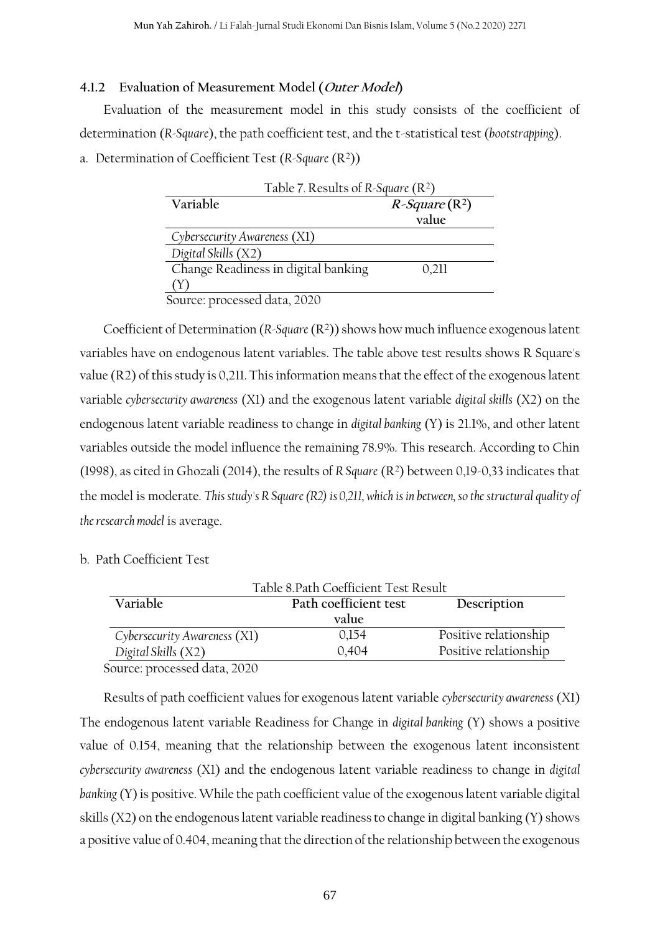#### **4.1.2 Evaluation of Measurement Model (Outer Model)**

Evaluation of the measurement model in this study consists of the coefficient of determination (*R-Square*), the path coefficient test, and the t-statistical test (*bootstrapping*).

a. Determination of Coefficient Test (R-Square (R<sup>2</sup>))

| Table 7. Results of R-Square $(R^2)$ |                     |  |  |  |
|--------------------------------------|---------------------|--|--|--|
| Variable                             | $R$ -Square $(R^2)$ |  |  |  |
|                                      | value               |  |  |  |
| Cybersecurity Awareness (X1)         |                     |  |  |  |
| Digital Skills (X2)                  |                     |  |  |  |
| Change Readiness in digital banking  | 0,211               |  |  |  |
| (Y)                                  |                     |  |  |  |
| Source: processed data, 2020         |                     |  |  |  |

Coefficient of Determination (*R-Square*(R<sup>2</sup> )) shows how much influence exogenous latent variables have on endogenous latent variables. The table above test results shows R Square's value (R2) of this study is 0,211. This information means that the effect of the exogenous latent variable *cybersecurity awareness* (X1) and the exogenous latent variable *digital skills* (X2) on the endogenous latent variable readiness to change in *digital banking* (Y) is 21.1%, and other latent variables outside the model influence the remaining 78.9%. This research. According to Chin (1998), as cited in Ghozali (2014), the results of *R Square* (R<sup>2</sup> ) between 0,19-0,33 indicates that the model is moderate. *This study's R Square (R2) is 0,211, which is in between, so the structural quality of the research model* is average.

b. Path Coefficient Test

| Table 8. Path Coefficient Test Result |                       |                       |  |  |
|---------------------------------------|-----------------------|-----------------------|--|--|
| Variable                              | Path coefficient test | Description           |  |  |
|                                       | value                 |                       |  |  |
| Cybersecurity Awareness (X1)          | 0,154                 | Positive relationship |  |  |
| Digital Skills (X2)                   | 0,404                 | Positive relationship |  |  |
| Source: processed data, 2020          |                       |                       |  |  |

Results of path coefficient values for exogenous latent variable *cybersecurity awareness* (X1) The endogenous latent variable Readiness for Change in *digital banking* (Y) shows a positive value of 0.154, meaning that the relationship between the exogenous latent inconsistent *cybersecurity awareness* (X1) and the endogenous latent variable readiness to change in *digital banking*(Y) is positive. While the path coefficient value of the exogenous latent variable digital skills (X2) on the endogenous latent variable readiness to change in digital banking (Y) shows a positive value of 0.404, meaning that the direction of the relationship between the exogenous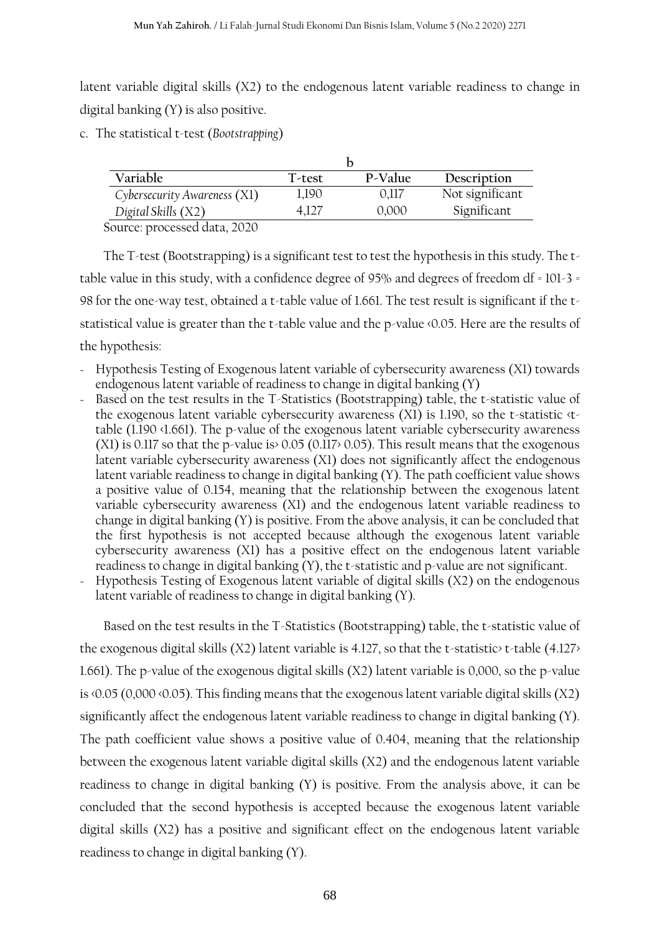latent variable digital skills (X2) to the endogenous latent variable readiness to change in digital banking (Y) is also positive.

c. The statistical t-test (*Bootstrapping*)

| Variable                     | T-test | P-Value | Description     |
|------------------------------|--------|---------|-----------------|
| Cybersecurity Awareness (X1) | 1,190  | 0.117   | Not significant |
| Digital Skills (X2)          | 4.127  | 0,000   | Significant     |
| $\bigcap$                    |        |         |                 |

Source: processed data, 2020

The T-test (Bootstrapping) is a significant test to test the hypothesis in this study. The ttable value in this study, with a confidence degree of 95% and degrees of freedom df = 101-3 = 98 for the one-way test, obtained a t-table value of 1.661. The test result is significant if the tstatistical value is greater than the t-table value and the p-value <0.05. Here are the results of the hypothesis:

- Hypothesis Testing of Exogenous latent variable of cybersecurity awareness (X1) towards endogenous latent variable of readiness to change in digital banking (Y)
- Based on the test results in the T-Statistics (Bootstrapping) table, the t-statistic value of the exogenous latent variable cybersecurity awareness (X1) is 1.190, so the t-statistic <ttable (1.190 <1.661). The p-value of the exogenous latent variable cybersecurity awareness (X1) is 0.117 so that the p-value is  $0.05$  (0.117 $> 0.05$ ). This result means that the exogenous latent variable cybersecurity awareness (X1) does not significantly affect the endogenous latent variable readiness to change in digital banking (Y). The path coefficient value shows a positive value of 0.154, meaning that the relationship between the exogenous latent variable cybersecurity awareness (X1) and the endogenous latent variable readiness to change in digital banking (Y) is positive. From the above analysis, it can be concluded that the first hypothesis is not accepted because although the exogenous latent variable cybersecurity awareness (X1) has a positive effect on the endogenous latent variable readiness to change in digital banking (Y), the t-statistic and p-value are not significant.
- Hypothesis Testing of Exogenous latent variable of digital skills (X2) on the endogenous latent variable of readiness to change in digital banking (Y).

Based on the test results in the T-Statistics (Bootstrapping) table, the t-statistic value of the exogenous digital skills (X2) latent variable is 4.127, so that the t-statistic> t-table (4.127> 1.661). The p-value of the exogenous digital skills (X2) latent variable is 0,000, so the p-value is <0.05 (0,000 <0.05). This finding means that the exogenous latent variable digital skills (X2) significantly affect the endogenous latent variable readiness to change in digital banking (Y). The path coefficient value shows a positive value of 0.404, meaning that the relationship between the exogenous latent variable digital skills (X2) and the endogenous latent variable readiness to change in digital banking (Y) is positive. From the analysis above, it can be concluded that the second hypothesis is accepted because the exogenous latent variable digital skills (X2) has a positive and significant effect on the endogenous latent variable readiness to change in digital banking (Y).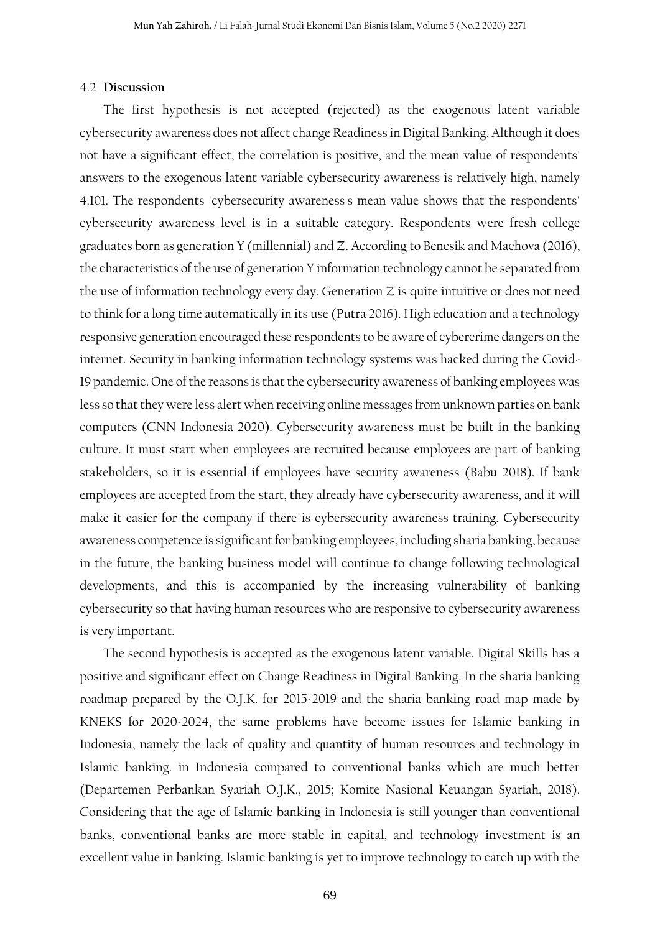#### 4.2 **Discussion**

The first hypothesis is not accepted (rejected) as the exogenous latent variable cybersecurity awareness does not affect change Readiness in Digital Banking. Although it does not have a significant effect, the correlation is positive, and the mean value of respondents' answers to the exogenous latent variable cybersecurity awareness is relatively high, namely 4.101. The respondents 'cybersecurity awareness's mean value shows that the respondents' cybersecurity awareness level is in a suitable category. Respondents were fresh college graduates born as generation Y (millennial) and Z. According to Bencsik and Machova (2016), the characteristics of the use of generation Y information technology cannot be separated from the use of information technology every day. Generation Z is quite intuitive or does not need to think for a long time automatically in its use (Putra 2016). High education and a technology responsive generation encouraged these respondents to be aware of cybercrime dangers on the internet. Security in banking information technology systems was hacked during the Covid-19 pandemic. One of the reasons is that the cybersecurity awareness of banking employees was less so that they were less alert when receiving online messages from unknown parties on bank computers (CNN Indonesia 2020). Cybersecurity awareness must be built in the banking culture. It must start when employees are recruited because employees are part of banking stakeholders, so it is essential if employees have security awareness (Babu 2018). If bank employees are accepted from the start, they already have cybersecurity awareness, and it will make it easier for the company if there is cybersecurity awareness training. Cybersecurity awareness competence is significant for banking employees, including sharia banking, because in the future, the banking business model will continue to change following technological developments, and this is accompanied by the increasing vulnerability of banking cybersecurity so that having human resources who are responsive to cybersecurity awareness is very important.

The second hypothesis is accepted as the exogenous latent variable. Digital Skills has a positive and significant effect on Change Readiness in Digital Banking. In the sharia banking roadmap prepared by the O.J.K. for 2015-2019 and the sharia banking road map made by KNEKS for 2020-2024, the same problems have become issues for Islamic banking in Indonesia, namely the lack of quality and quantity of human resources and technology in Islamic banking. in Indonesia compared to conventional banks which are much better (Departemen Perbankan Syariah O.J.K., 2015; Komite Nasional Keuangan Syariah, 2018). Considering that the age of Islamic banking in Indonesia is still younger than conventional banks, conventional banks are more stable in capital, and technology investment is an excellent value in banking. Islamic banking is yet to improve technology to catch up with the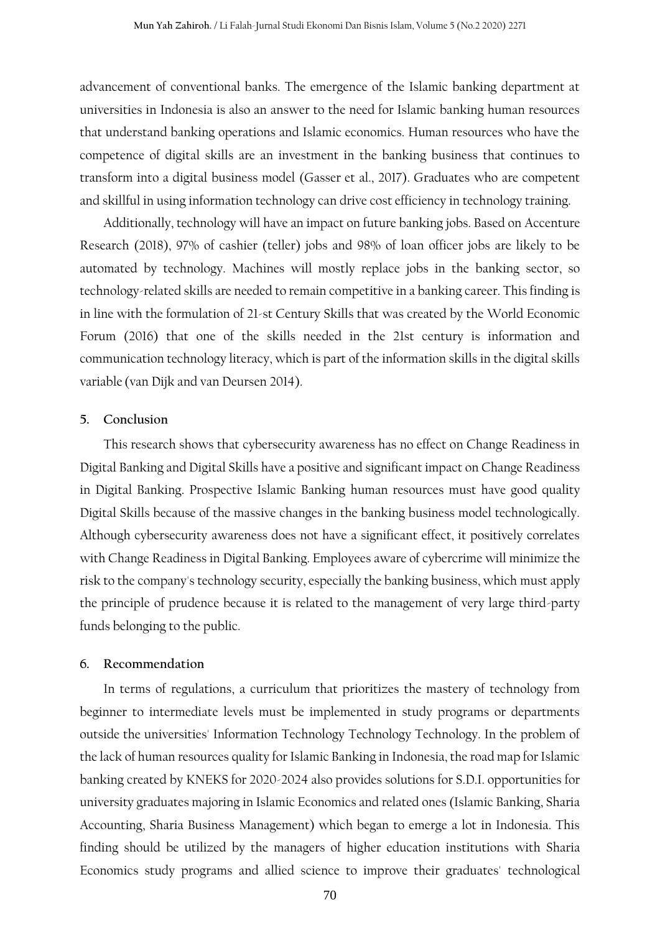advancement of conventional banks. The emergence of the Islamic banking department at universities in Indonesia is also an answer to the need for Islamic banking human resources that understand banking operations and Islamic economics. Human resources who have the competence of digital skills are an investment in the banking business that continues to transform into a digital business model (Gasser et al., 2017). Graduates who are competent and skillful in using information technology can drive cost efficiency in technology training.

Additionally, technology will have an impact on future banking jobs. Based on Accenture Research (2018), 97% of cashier (teller) jobs and 98% of loan officer jobs are likely to be automated by technology. Machines will mostly replace jobs in the banking sector, so technology-related skills are needed to remain competitive in a banking career. This finding is in line with the formulation of 21-st Century Skills that was created by the World Economic Forum (2016) that one of the skills needed in the 21st century is information and communication technology literacy, which is part of the information skills in the digital skills variable (van Dijk and van Deursen 2014).

#### **5. Conclusion**

This research shows that cybersecurity awareness has no effect on Change Readiness in Digital Banking and Digital Skills have a positive and significant impact on Change Readiness in Digital Banking. Prospective Islamic Banking human resources must have good quality Digital Skills because of the massive changes in the banking business model technologically. Although cybersecurity awareness does not have a significant effect, it positively correlates with Change Readiness in Digital Banking. Employees aware of cybercrime will minimize the risk to the company's technology security, especially the banking business, which must apply the principle of prudence because it is related to the management of very large third-party funds belonging to the public.

#### **6. Recommendation**

In terms of regulations, a curriculum that prioritizes the mastery of technology from beginner to intermediate levels must be implemented in study programs or departments outside the universities' Information Technology Technology Technology. In the problem of the lack of human resources quality for Islamic Banking in Indonesia, the road map for Islamic banking created by KNEKS for 2020-2024 also provides solutions for S.D.I. opportunities for university graduates majoring in Islamic Economics and related ones (Islamic Banking, Sharia Accounting, Sharia Business Management) which began to emerge a lot in Indonesia. This finding should be utilized by the managers of higher education institutions with Sharia Economics study programs and allied science to improve their graduates' technological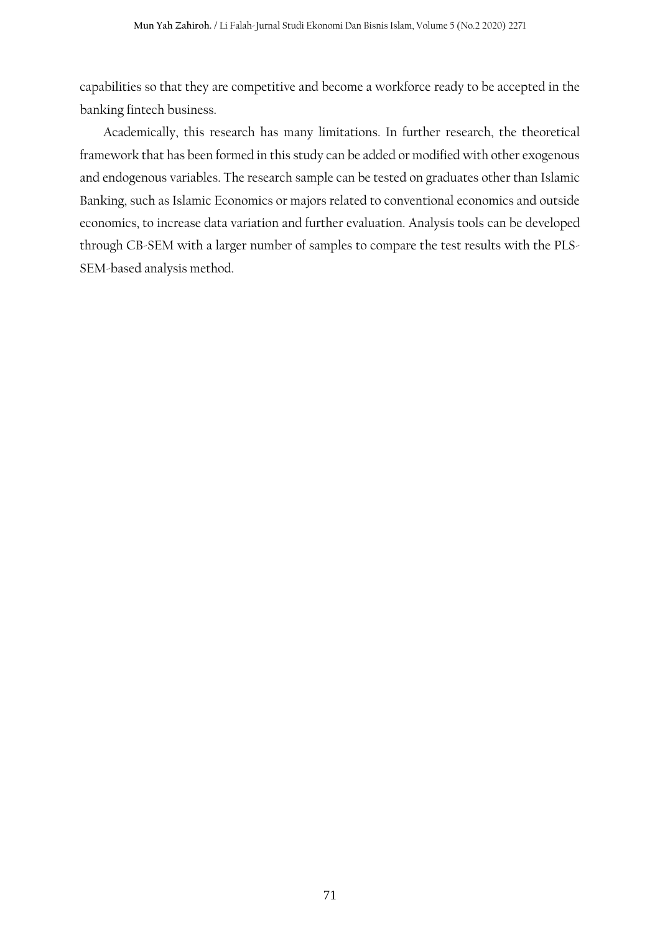capabilities so that they are competitive and become a workforce ready to be accepted in the banking fintech business.

Academically, this research has many limitations. In further research, the theoretical framework that has been formed in this study can be added or modified with other exogenous and endogenous variables. The research sample can be tested on graduates other than Islamic Banking, such as Islamic Economics or majors related to conventional economics and outside economics, to increase data variation and further evaluation. Analysis tools can be developed through CB-SEM with a larger number of samples to compare the test results with the PLS-SEM-based analysis method.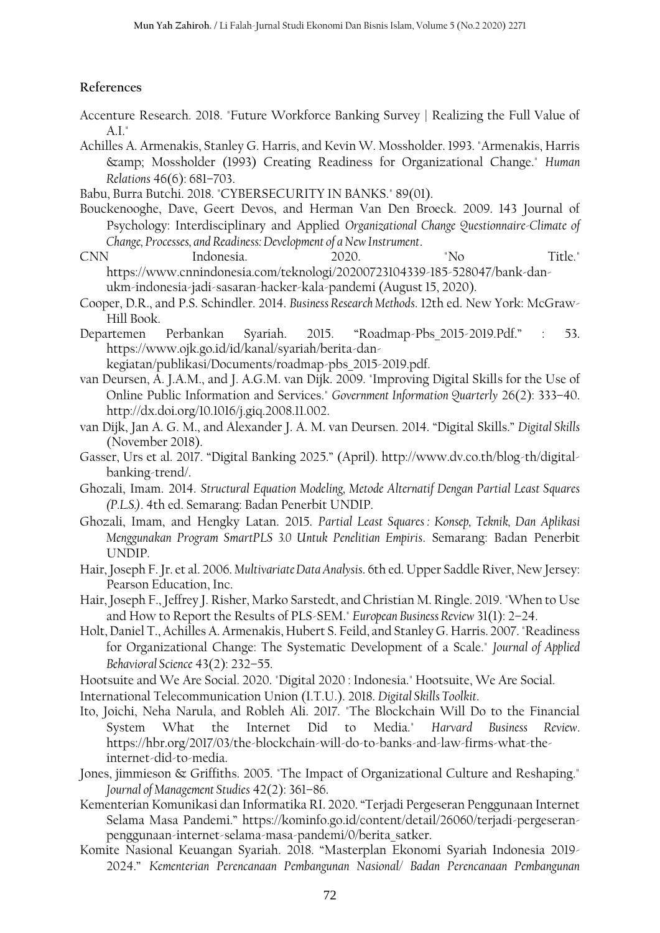# **References**

- Accenture Research. 2018. "Future Workforce Banking Survey | Realizing the Full Value of A.I."
- Achilles A. Armenakis, Stanley G. Harris, and Kevin W. Mossholder. 1993. "Armenakis, Harris & Mossholder (1993) Creating Readiness for Organizational Change." *Human Relations* 46(6): 681–703.
- Babu, Burra Butchi. 2018. "CYBERSECURITY IN BANKS." 89(01).
- Bouckenooghe, Dave, Geert Devos, and Herman Van Den Broeck. 2009. 143 Journal of Psychology: Interdisciplinary and Applied *Organizational Change Questionnaire-Climate of Change, Processes, and Readiness: Development of a New Instrument*.
- CNN Indonesia. 2020. "No Title." https://www.cnnindonesia.com/teknologi/20200723104339-185-528047/bank-danukm-indonesia-jadi-sasaran-hacker-kala-pandemi (August 15, 2020).
- Cooper, D.R., and P.S. Schindler. 2014. *Business Research Methods*. 12th ed. New York: McGraw-Hill Book.
- Departemen Perbankan Syariah. 2015. "Roadmap-Pbs\_2015-2019.Pdf." : 53. https://www.ojk.go.id/id/kanal/syariah/berita-dankegiatan/publikasi/Documents/roadmap-pbs\_2015-2019.pdf.
- van Deursen, A. J.A.M., and J. A.G.M. van Dijk. 2009. "Improving Digital Skills for the Use of Online Public Information and Services." *Government Information Quarterly* 26(2): 333–40. http://dx.doi.org/10.1016/j.giq.2008.11.002.
- van Dijk, Jan A. G. M., and Alexander J. A. M. van Deursen. 2014. "Digital Skills." *Digital Skills* (November 2018).
- Gasser, Urs et al. 2017. "Digital Banking 2025." (April). http://www.dv.co.th/blog-th/digitalbanking-trend/.
- Ghozali, Imam. 2014. *Structural Equation Modeling, Metode Alternatif Dengan Partial Least Squares (P.L.S.)*. 4th ed. Semarang: Badan Penerbit UNDIP.
- Ghozali, Imam, and Hengky Latan. 2015. *Partial Least Squares : Konsep, Teknik, Dan Aplikasi Menggunakan Program SmartPLS 3.0 Untuk Penelitian Empiris*. Semarang: Badan Penerbit UNDIP.
- Hair, Joseph F. Jr. et al. 2006. *Multivariate Data Analysis*. 6th ed. Upper Saddle River, New Jersey: Pearson Education, Inc.
- Hair, Joseph F., Jeffrey J. Risher, Marko Sarstedt, and Christian M. Ringle. 2019. "When to Use and How to Report the Results of PLS-SEM." *European Business Review* 31(1): 2–24.
- Holt, Daniel T., Achilles A. Armenakis, Hubert S. Feild, and Stanley G. Harris. 2007. "Readiness for Organizational Change: The Systematic Development of a Scale." *Journal of Applied Behavioral Science* 43(2): 232–55.
- Hootsuite and We Are Social. 2020. "Digital 2020 : Indonesia." Hootsuite, We Are Social.
- International Telecommunication Union (I.T.U.). 2018. *Digital Skills Toolkit*.
- Ito, Joichi, Neha Narula, and Robleh Ali. 2017. "The Blockchain Will Do to the Financial System What the Internet Did to Media." *Harvard Business Review*. https://hbr.org/2017/03/the-blockchain-will-do-to-banks-and-law-firms-what-theinternet-did-to-media.
- Jones, jimmieson & Griffiths. 2005. "The Impact of Organizational Culture and Reshaping." *Journal of Management Studies* 42(2): 361–86.
- Kementerian Komunikasi dan Informatika RI. 2020. "Terjadi Pergeseran Penggunaan Internet Selama Masa Pandemi." https://kominfo.go.id/content/detail/26060/terjadi-pergeseranpenggunaan-internet-selama-masa-pandemi/0/berita\_satker.
- Komite Nasional Keuangan Syariah. 2018. "Masterplan Ekonomi Syariah Indonesia 2019- 2024." *Kementerian Perencanaan Pembangunan Nasional/ Badan Perencanaan Pembangunan*